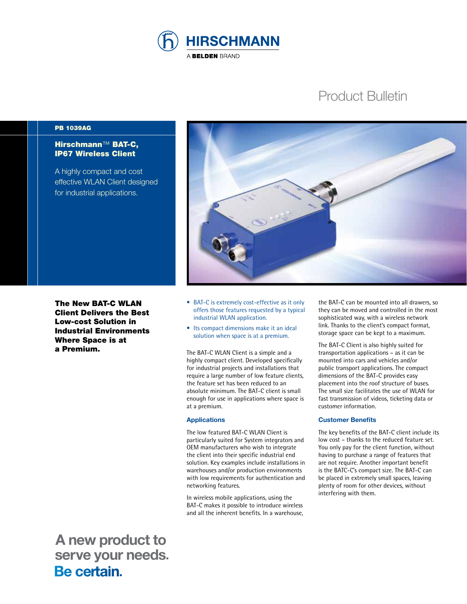

# Product Bulletin

#### PB 1039AG

# Hirschmann™ BAT-C, IP67 Wireless Client

A highly compact and cost effective WLAN Client designed for industrial applications.

The New BAT-C WLAN Client Delivers the Best Low-cost Solution in Industrial Environments Where Space is at a Premium.

 **A new product to serve your needs.**<br>**Be certain**.



- BAT-C is extremely cost-effective as it only offers those features requested by a typical industrial WLAN application.
- Its compact dimensions make it an ideal solution when space is at a premium.

The BAT-C WLAN Client is a simple and a highly compact client. Developed specifically for industrial projects and installations that require a large number of low feature clients, the feature set has been reduced to an absolute minimum. The BAT-C client is small enough for use in applications where space is at a premium.

#### **Applications**

The low featured BAT-C WLAN Client is particularly suited for System integrators and OEM manufacturers who wish to integrate the client into their specific industrial end solution. Key examples include installations in warehouses and/or production environments with low requirements for authentication and networking features.

In wireless mobile applications, using the BAT-C makes it possible to introduce wireless and all the inherent benefits. In a warehouse,

the BAT-C can be mounted into all drawers, so they can be moved and controlled in the most sophisticated way, with a wireless network link. Thanks to the client's compact format, storage space can be kept to a maximum.

The BAT-C Client is also highly suited for transportation applications – as it can be mounted into cars and vehicles and/or public transport applications. The compact dimensions of the BAT-C provides easy placement into the roof structure of buses. The small size facilitates the use of WLAN for fast transmission of videos, ticketing data or customer information.

#### **Customer Benefits**

The key benefits of the BAT-C client include its low cost – thanks to the reduced feature set. You only pay for the client function, without having to purchase a range of features that are not require. Another important benefit is the BATC-C's compact size. The BAT-C can be placed in extremely small spaces, leaving plenty of room for other devices, without interfering with them.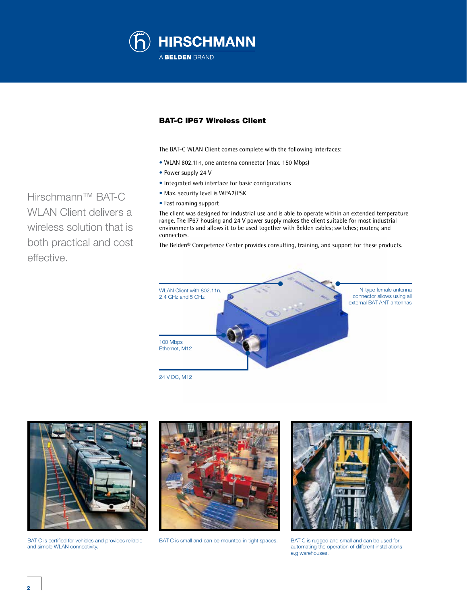

## BAT-C IP67 Wireless Client

The BAT-C WLAN Client comes complete with the following interfaces:

- WLAN 802.11n, one antenna connector (max. 150 Mbps)
- Power supply 24 V
- Integrated web interface for basic configurations
- Max. security level is WPA2/PSK
- Fast roaming support

The client was designed for industrial use and is able to operate within an extended temperature range. The IP67 housing and 24 V power supply makes the client suitable for most industrial environments and allows it to be used together with Belden cables; switches; routers; and connectors.

The Belden® Competence Center provides consulting, training, and support for these products.



BAT-C is certified for vehicles and provides reliable and simple WLAN connectivity.



BAT-C is small and can be mounted in tight spaces. BAT-C is rugged and small and can be used for



automating the operation of different installations e.g warehouses.

Hirschmann™ BAT-C WLAN Client delivers a wireless solution that is both practical and cost effective.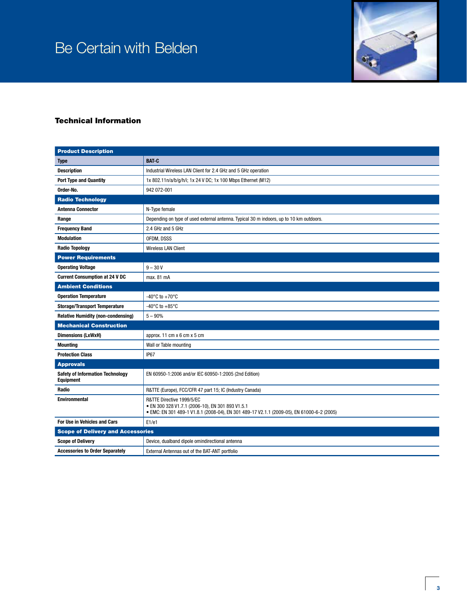# Be Certain with Belden



# Technical Information

| <b>Product Description</b>                                  |                                                                                                                                                                            |
|-------------------------------------------------------------|----------------------------------------------------------------------------------------------------------------------------------------------------------------------------|
| <b>Type</b>                                                 | <b>BAT-C</b>                                                                                                                                                               |
| <b>Description</b>                                          | Industrial Wireless LAN Client for 2.4 GHz and 5 GHz operation                                                                                                             |
| <b>Port Type and Quantity</b>                               | 1x 802.11n/a/b/g/h/i; 1x 24 V DC; 1x 100 Mbps Ethernet (M12)                                                                                                               |
| Order-No.                                                   | 942 072-001                                                                                                                                                                |
| <b>Radio Technology</b>                                     |                                                                                                                                                                            |
| <b>Antenna Connector</b>                                    | N-Type female                                                                                                                                                              |
| Range                                                       | Depending on type of used external antenna. Typical 30 m indoors, up to 10 km outdoors.                                                                                    |
| <b>Frequency Band</b>                                       | 2.4 GHz and 5 GHz                                                                                                                                                          |
| <b>Modulation</b>                                           | OFDM, DSSS                                                                                                                                                                 |
| <b>Radio Topology</b>                                       | <b>Wireless LAN Client</b>                                                                                                                                                 |
| <b>Power Requirements</b>                                   |                                                                                                                                                                            |
| <b>Operating Voltage</b>                                    | $9 - 30V$                                                                                                                                                                  |
| <b>Current Consumption at 24 V DC</b>                       | max. 81 mA                                                                                                                                                                 |
| <b>Ambient Conditions</b>                                   |                                                                                                                                                                            |
| <b>Operation Temperature</b>                                | -40 $^{\circ}$ C to +70 $^{\circ}$ C                                                                                                                                       |
| <b>Storage/Transport Temperature</b>                        | -40 $^{\circ}$ C to +85 $^{\circ}$ C                                                                                                                                       |
| <b>Relative Humidity (non-condensing)</b>                   | $5 - 90%$                                                                                                                                                                  |
| <b>Mechanical Construction</b>                              |                                                                                                                                                                            |
| <b>Dimensions (LxWxH)</b>                                   | approx. 11 cm $x$ 6 cm $x$ 5 cm                                                                                                                                            |
| <b>Mounting</b>                                             | Wall or Table mounting                                                                                                                                                     |
| <b>Protection Class</b>                                     | IP67                                                                                                                                                                       |
| <b>Approvals</b>                                            |                                                                                                                                                                            |
| <b>Safety of Information Technology</b><br><b>Equipment</b> | EN 60950-1:2006 and/or IEC 60950-1:2005 (2nd Edition)                                                                                                                      |
| Radio                                                       | R&TTE (Europe), FCC/CFR 47 part 15; IC (Industry Canada)                                                                                                                   |
| <b>Environmental</b>                                        | R&TTE Directive 1999/5/EC<br>· EN 300 328 V1.7.1 (2006-10), EN 301 893 V1.5.1<br>· EMC: EN 301 489-1 V1.8.1 (2008-04), EN 301 489-17 V2.1.1 (2009-05), EN 61000-6-2 (2005) |
| For Use in Vehicles and Cars                                | E1/e1                                                                                                                                                                      |
| <b>Scope of Delivery and Accessories</b>                    |                                                                                                                                                                            |
| <b>Scope of Delivery</b>                                    | Device, dualband dipole omindirectional antenna                                                                                                                            |
| <b>Accessories to Order Separately</b>                      | External Antennas out of the BAT-ANT portfolio                                                                                                                             |